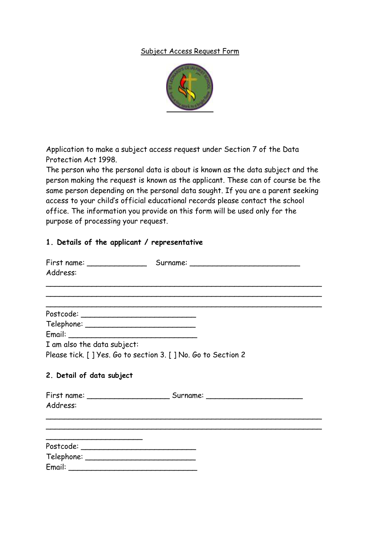#### Subject Access Request Form



Application to make a subject access request under Section 7 of the Data Protection Act 1998.

The person who the personal data is about is known as the data subject and the person making the request is known as the applicant. These can of course be the same person depending on the personal data sought. If you are a parent seeking access to your child's official educational records please contact the school office. The information you provide on this form will be used only for the purpose of processing your request.

# **1. Details of the applicant / representative**

| Address:                                                     |                                                                                  |
|--------------------------------------------------------------|----------------------------------------------------------------------------------|
|                                                              |                                                                                  |
|                                                              |                                                                                  |
|                                                              |                                                                                  |
|                                                              |                                                                                  |
| I am also the data subject:                                  |                                                                                  |
| Please tick. [] Yes. Go to section 3. [] No. Go to Section 2 |                                                                                  |
| 2. Detail of data subject                                    |                                                                                  |
|                                                              | First name: __________________________________ Surname: ________________________ |
| Address:                                                     |                                                                                  |
|                                                              |                                                                                  |
|                                                              |                                                                                  |
|                                                              |                                                                                  |
|                                                              |                                                                                  |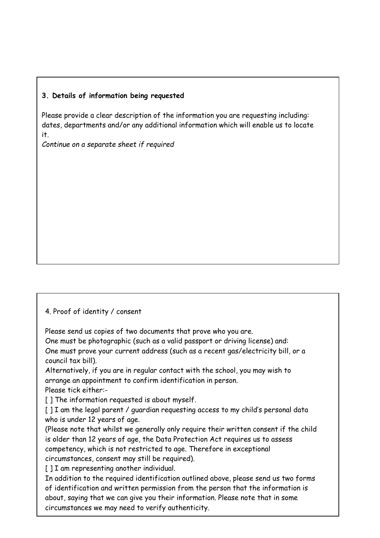# **3. Details of information being requested**

Please provide a clear description of the information you are requesting including: dates, departments and/or any additional information which will enable us to locate it.

*Continue on a separate sheet if required* 

#### 4. Proof of identity / consent

Please send us copies of two documents that prove who you are.

One must be photographic (such as a valid passport or driving license) and: One must prove your current address (such as a recent gas/electricity bill, or a council tax bill).

Alternatively, if you are in regular contact with the school, you may wish to arrange an appointment to confirm identification in person. Please tick either:-

[] The information requested is about myself.

[ ] I am the legal parent / guardian requesting access to my child's personal data who is under 12 years of age.

(Please note that whilst we generally only require their written consent if the child is older than 12 years of age, the Data Protection Act requires us to assess competency, which is not restricted to age. Therefore in exceptional circumstances, consent may still be required).

[ ] I am representing another individual.

In addition to the required identification outlined above, please send us two forms of identification and written permission from the person that the information is about, saying that we can give you their information. Please note that in some circumstances we may need to verify authenticity.